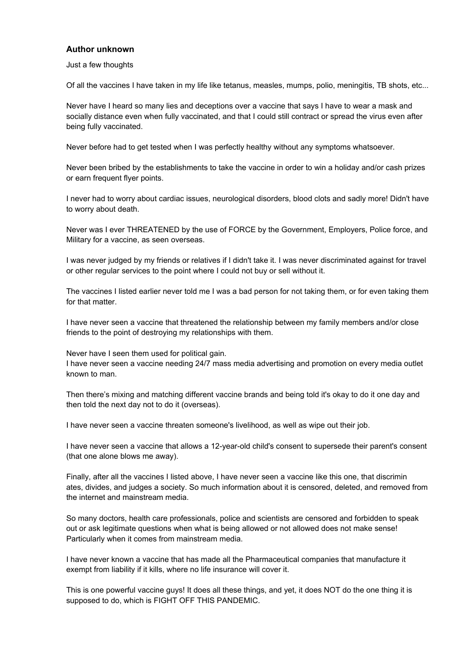## **Author unknown**

Just a few thoughts

Of all the vaccines I have taken in my life like tetanus, measles, mumps, polio, meningitis, TB shots, etc...

Never have I heard so many lies and deceptions over a vaccine that says I have to wear a mask and socially distance even when fully vaccinated, and that I could still contract or spread the virus even after being fully vaccinated.

Never before had to get tested when I was perfectly healthy without any symptoms whatsoever.

Never been bribed by the establishments to take the vaccine in order to win a holiday and/or cash prizes or earn frequent flyer points.

I never had to worry about cardiac issues, neurological disorders, blood clots and sadly more! Didn't have to worry about death.

Never was I ever THREATENED by the use of FORCE by the Government, Employers, Police force, and Military for a vaccine, as seen overseas.

I was never judged by my friends or relatives if I didn't take it. I was never discriminated against for travel or other regular services to the point where I could not buy or sell without it.

The vaccines I listed earlier never told me I was a bad person for not taking them, or for even taking them for that matter.

I have never seen a vaccine that threatened the relationship between my family members and/or close friends to the point of destroying my relationships with them.

Never have I seen them used for political gain.

I have never seen a vaccine needing 24/7 mass media advertising and promotion on every media outlet known to man.

Then there's mixing and matching different vaccine brands and being told it's okay to do it one day and then told the next day not to do it (overseas).

I have never seen a vaccine threaten someone's livelihood, as well as wipe out their job.

I have never seen a vaccine that allows a 12-year-old child's consent to supersede their parent's consent (that one alone blows me away).

Finally, after all the vaccines I listed above, I have never seen a vaccine like this one, that discrimin ates, divides, and judges a society. So much information about it is censored, deleted, and removed from the internet and mainstream media.

So many doctors, health care professionals, police and scientists are censored and forbidden to speak out or ask legitimate questions when what is being allowed or not allowed does not make sense! Particularly when it comes from mainstream media.

I have never known a vaccine that has made all the Pharmaceutical companies that manufacture it exempt from liability if it kills, where no life insurance will cover it.

This is one powerful vaccine guys! It does all these things, and yet, it does NOT do the one thing it is supposed to do, which is FIGHT OFF THIS PANDEMIC.